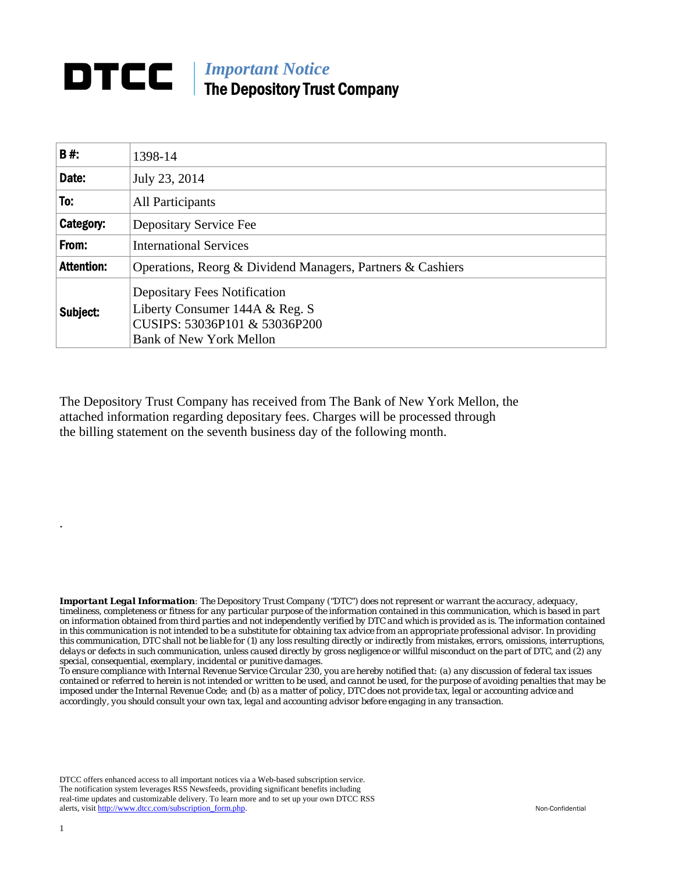## **DTCC** | *Important Notice* The Depository Trust Company

| B#:               | 1398-14                                                                                                                                  |  |
|-------------------|------------------------------------------------------------------------------------------------------------------------------------------|--|
| Date:             | July 23, 2014                                                                                                                            |  |
| To:               | All Participants                                                                                                                         |  |
| Category:         | Depositary Service Fee                                                                                                                   |  |
| From:             | <b>International Services</b>                                                                                                            |  |
| <b>Attention:</b> | Operations, Reorg & Dividend Managers, Partners & Cashiers                                                                               |  |
| Subject:          | <b>Depositary Fees Notification</b><br>Liberty Consumer 144A & Reg. S<br>CUSIPS: 53036P101 & 53036P200<br><b>Bank of New York Mellon</b> |  |

The Depository Trust Company has received from The Bank of New York Mellon, the attached information regarding depositary fees. Charges will be processed through the billing statement on the seventh business day of the following month.

*Important Legal Information: The Depository Trust Company ("DTC") does not represent or warrant the accuracy, adequacy, timeliness, completeness or fitness for any particular purpose of the information contained in this communication, which is based in part on information obtained from third parties and not independently verified by DTC and which is provided as is. The information contained in this communication is not intended to be a substitute for obtaining tax advice from an appropriate professional advisor. In providing this communication, DTC shall not be liable for (1) any loss resulting directly or indirectly from mistakes, errors, omissions, interruptions, delays or defects in such communication, unless caused directly by gross negligence or willful misconduct on the part of DTC, and (2) any special, consequential, exemplary, incidental or punitive damages.* 

*To ensure compliance with Internal Revenue Service Circular 230, you are hereby notified that: (a) any discussion of federal tax issues contained or referred to herein is not intended or written to be used, and cannot be used, for the purpose of avoiding penalties that may be imposed under the Internal Revenue Code; and (b) as a matter of policy, DTC does not provide tax, legal or accounting advice and accordingly, you should consult your own tax, legal and accounting advisor before engaging in any transaction.*

DTCC offers enhanced access to all important notices via a Web-based subscription service. The notification system leverages RSS Newsfeeds, providing significant benefits including real-time updates and customizable delivery. To learn more and to set up your own DTCC RSS alerts, visit http://www.dtcc.com/subscription\_form.php. Non-Confidential

.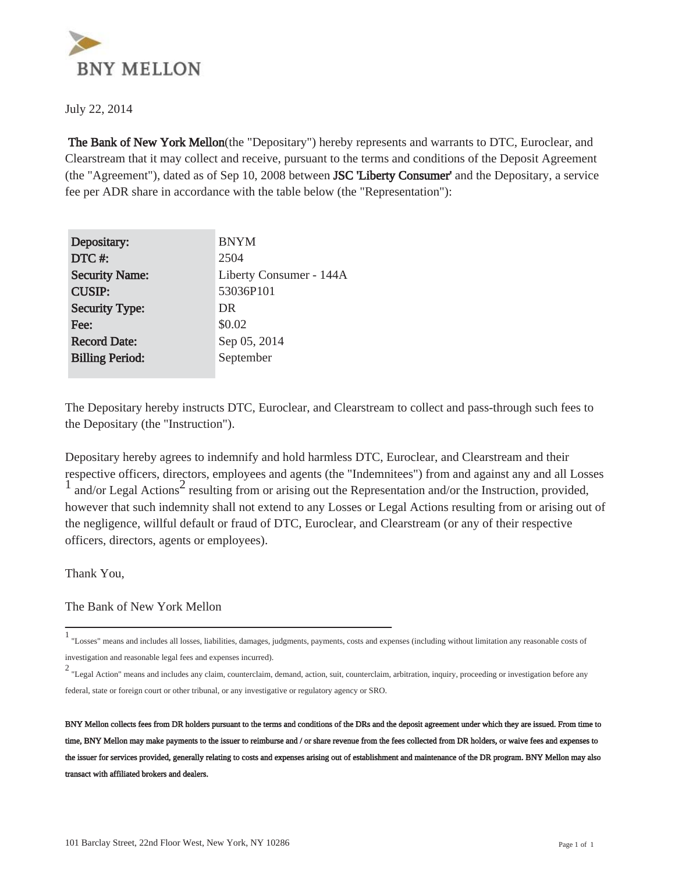

July 22, 2014

 The Bank of New York Mellon(the "Depositary") hereby represents and warrants to DTC, Euroclear, and Clearstream that it may collect and receive, pursuant to the terms and conditions of the Deposit Agreement (the "Agreement"), dated as of Sep 10, 2008 between JSC 'Liberty Consumer' and the Depositary, a service fee per ADR share in accordance with the table below (the "Representation"):

| Depositary:            | <b>BNYM</b>             |
|------------------------|-------------------------|
| DTC#:                  | 2504                    |
| <b>Security Name:</b>  | Liberty Consumer - 144A |
| <b>CUSIP:</b>          | 53036P101               |
| <b>Security Type:</b>  | DR                      |
| Fee:                   | \$0.02                  |
| <b>Record Date:</b>    | Sep 05, 2014            |
| <b>Billing Period:</b> | September               |
|                        |                         |

The Depositary hereby instructs DTC, Euroclear, and Clearstream to collect and pass-through such fees to the Depositary (the "Instruction").

Depositary hereby agrees to indemnify and hold harmless DTC, Euroclear, and Clearstream and their respective officers, directors, employees and agents (the "Indemnitees") from and against any and all Losses  $\frac{1}{1}$  and/or Legal Actions<sup>2</sup> resulting from or arising out the Representation and/or the Instruction, provided, however that such indemnity shall not extend to any Losses or Legal Actions resulting from or arising out of the negligence, willful default or fraud of DTC, Euroclear, and Clearstream (or any of their respective officers, directors, agents or employees).

Thank You,

The Bank of New York Mellon

<sup>1</sup> "Losses" means and includes all losses, liabilities, damages, judgments, payments, costs and expenses (including without limitation any reasonable costs of investigation and reasonable legal fees and expenses incurred).

<sup>2</sup> "Legal Action" means and includes any claim, counterclaim, demand, action, suit, counterclaim, arbitration, inquiry, proceeding or investigation before any federal, state or foreign court or other tribunal, or any investigative or regulatory agency or SRO.

BNY Mellon collects fees from DR holders pursuant to the terms and conditions of the DRs and the deposit agreement under which they are issued. From time to time, BNY Mellon may make payments to the issuer to reimburse and / or share revenue from the fees collected from DR holders, or waive fees and expenses to the issuer for services provided, generally relating to costs and expenses arising out of establishment and maintenance of the DR program. BNY Mellon may also transact with affiliated brokers and dealers.